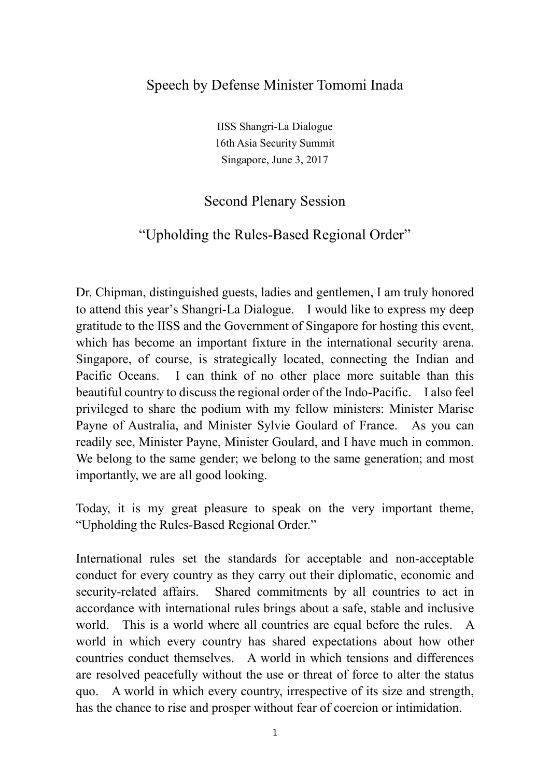## Speech by Defense Minister Tomomi Inada

IISS Shangri-La Dialogue 16th Asia Security Summit Singapore, June 3, 2017

## Second Plenary Session

## "Upholding the Rules-Based Regional Order"

Dr. Chipman, distinguished guests, ladies and gentlemen, I am truly honored to attend this year's Shangri-La Dialogue. I would like to express my deep gratitude to the IISS and the Government of Singapore for hosting this event, which has become an important fixture in the international security arena. Singapore, of course, is strategically located, connecting the Indian and Pacific Oceans. I can think of no other place more suitable than this beautiful country to discuss the regional order of the Indo-Pacific. I also feel privileged to share the podium with my fellow ministers: Minister Marise Payne of Australia, and Minister Sylvie Goulard of France. As you can readily see, Minister Payne, Minister Goulard, and I have much in common. We belong to the same gender; we belong to the same generation; and most importantly, we are all good looking.

Today, it is my great pleasure to speak on the very important theme, "Upholding the Rules-Based Regional Order."

International rules set the standards for acceptable and non-acceptable conduct for every country as they carry out their diplomatic, economic and security-related affairs. Shared commitments by all countries to act in accordance with international rules brings about a safe, stable and inclusive world. This is a world where all countries are equal before the rules. A world in which every country has shared expectations about how other countries conduct themselves. A world in which tensions and differences are resolved peacefully without the use or threat of force to alter the status quo. A world in which every country, irrespective of its size and strength, has the chance to rise and prosper without fear of coercion or intimidation.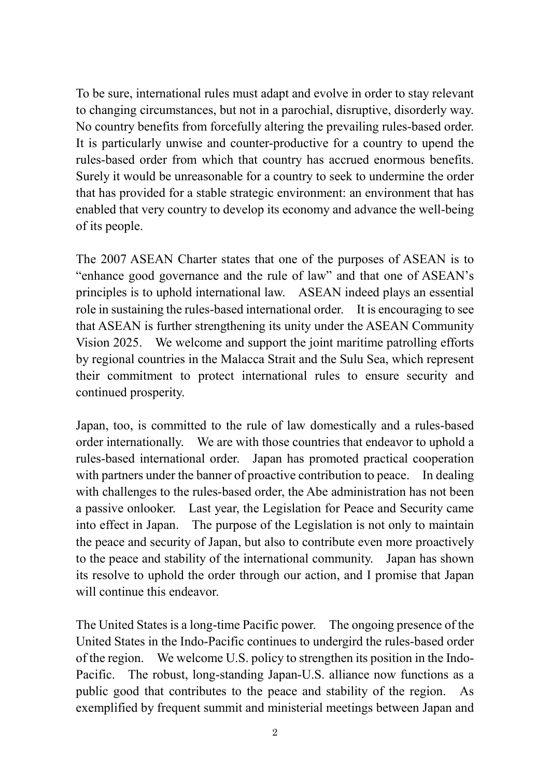To be sure, international rules must adapt and evolve in order to stay relevant to changing circumstances, but not in a parochial, disruptive, disorderly way. No country benefits from forcefully altering the prevailing rules-based order. It is particularly unwise and counter-productive for a country to upend the rules-based order from which that country has accrued enormous benefits. Surely it would be unreasonable for a country to seek to undermine the order that has provided for a stable strategic environment: an environment that has enabled that very country to develop its economy and advance the well-being of its people.

The 2007 ASEAN Charter states that one of the purposes of ASEAN is to "enhance good governance and the rule of law" and that one of ASEAN's principles is to uphold international law. ASEAN indeed plays an essential role in sustaining the rules-based international order. It is encouraging to see that ASEAN is further strengthening its unity under the ASEAN Community Vision 2025. We welcome and support the joint maritime patrolling efforts by regional countries in the Malacca Strait and the Sulu Sea, which represent their commitment to protect international rules to ensure security and continued prosperity.

Japan, too, is committed to the rule of law domestically and a rules-based order internationally. We are with those countries that endeavor to uphold a rules-based international order. Japan has promoted practical cooperation with partners under the banner of proactive contribution to peace. In dealing with challenges to the rules-based order, the Abe administration has not been a passive onlooker. Last year, the Legislation for Peace and Security came into effect in Japan. The purpose of the Legislation is not only to maintain the peace and security of Japan, but also to contribute even more proactively to the peace and stability of the international community. Japan has shown its resolve to uphold the order through our action, and I promise that Japan will continue this endeavor.

The United States is a long-time Pacific power. The ongoing presence of the United States in the Indo-Pacific continues to undergird the rules-based order of the region. We welcome U.S. policy to strengthen its position in the Indo-Pacific. The robust, long-standing Japan-U.S. alliance now functions as a public good that contributes to the peace and stability of the region. As exemplified by frequent summit and ministerial meetings between Japan and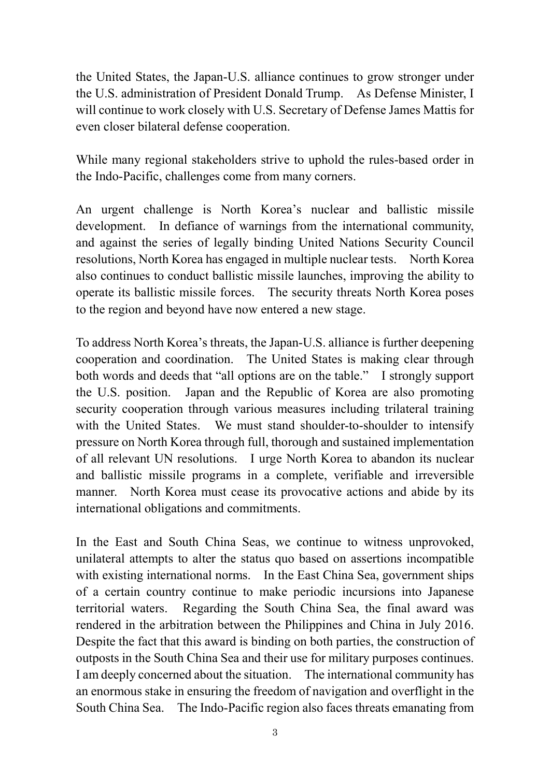the United States, the Japan-U.S. alliance continues to grow stronger under the U.S. administration of President Donald Trump. As Defense Minister, I will continue to work closely with U.S. Secretary of Defense James Mattis for even closer bilateral defense cooperation.

While many regional stakeholders strive to uphold the rules-based order in the Indo-Pacific, challenges come from many corners.

An urgent challenge is North Korea's nuclear and ballistic missile development. In defiance of warnings from the international community, and against the series of legally binding United Nations Security Council resolutions, North Korea has engaged in multiple nuclear tests. North Korea also continues to conduct ballistic missile launches, improving the ability to operate its ballistic missile forces. The security threats North Korea poses to the region and beyond have now entered a new stage.

To address North Korea's threats, the Japan-U.S. alliance is further deepening cooperation and coordination. The United States is making clear through both words and deeds that "all options are on the table." I strongly support the U.S. position. Japan and the Republic of Korea are also promoting security cooperation through various measures including trilateral training with the United States. We must stand shoulder-to-shoulder to intensify pressure on North Korea through full, thorough and sustained implementation of all relevant UN resolutions. I urge North Korea to abandon its nuclear and ballistic missile programs in a complete, verifiable and irreversible manner. North Korea must cease its provocative actions and abide by its international obligations and commitments.

In the East and South China Seas, we continue to witness unprovoked, unilateral attempts to alter the status quo based on assertions incompatible with existing international norms. In the East China Sea, government ships of a certain country continue to make periodic incursions into Japanese territorial waters. Regarding the South China Sea, the final award was rendered in the arbitration between the Philippines and China in July 2016. Despite the fact that this award is binding on both parties, the construction of outposts in the South China Sea and their use for military purposes continues. I am deeply concerned about the situation. The international community has an enormous stake in ensuring the freedom of navigation and overflight in the South China Sea. The Indo-Pacific region also faces threats emanating from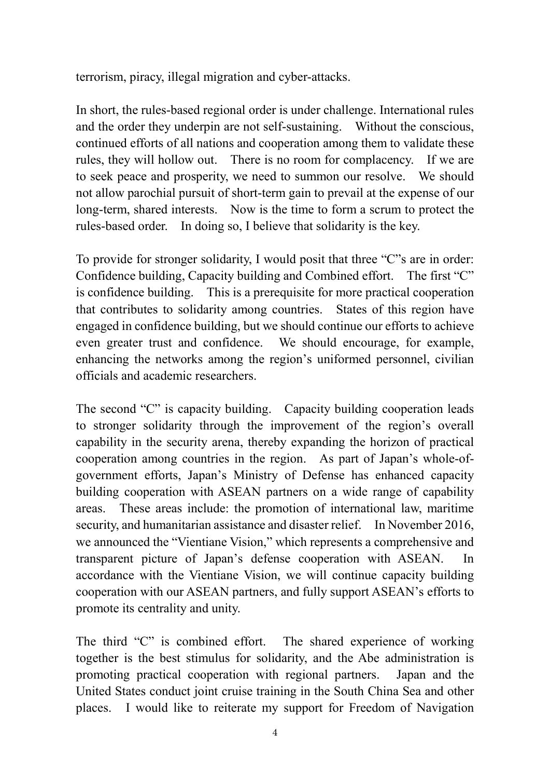terrorism, piracy, illegal migration and cyber-attacks.

In short, the rules-based regional order is under challenge. International rules and the order they underpin are not self-sustaining. Without the conscious, continued efforts of all nations and cooperation among them to validate these rules, they will hollow out. There is no room for complacency. If we are to seek peace and prosperity, we need to summon our resolve. We should not allow parochial pursuit of short-term gain to prevail at the expense of our long-term, shared interests. Now is the time to form a scrum to protect the rules-based order. In doing so, I believe that solidarity is the key.

To provide for stronger solidarity, I would posit that three "C"s are in order: Confidence building, Capacity building and Combined effort. The first "C" is confidence building. This is a prerequisite for more practical cooperation that contributes to solidarity among countries. States of this region have engaged in confidence building, but we should continue our efforts to achieve even greater trust and confidence. We should encourage, for example, enhancing the networks among the region's uniformed personnel, civilian officials and academic researchers.

The second "C" is capacity building. Capacity building cooperation leads to stronger solidarity through the improvement of the region's overall capability in the security arena, thereby expanding the horizon of practical cooperation among countries in the region. As part of Japan's whole-ofgovernment efforts, Japan's Ministry of Defense has enhanced capacity building cooperation with ASEAN partners on a wide range of capability areas. These areas include: the promotion of international law, maritime security, and humanitarian assistance and disaster relief. In November 2016, we announced the "Vientiane Vision," which represents a comprehensive and transparent picture of Japan's defense cooperation with ASEAN. In accordance with the Vientiane Vision, we will continue capacity building cooperation with our ASEAN partners, and fully support ASEAN's efforts to promote its centrality and unity.

The third "C" is combined effort. The shared experience of working together is the best stimulus for solidarity, and the Abe administration is promoting practical cooperation with regional partners. Japan and the United States conduct joint cruise training in the South China Sea and other places. I would like to reiterate my support for Freedom of Navigation